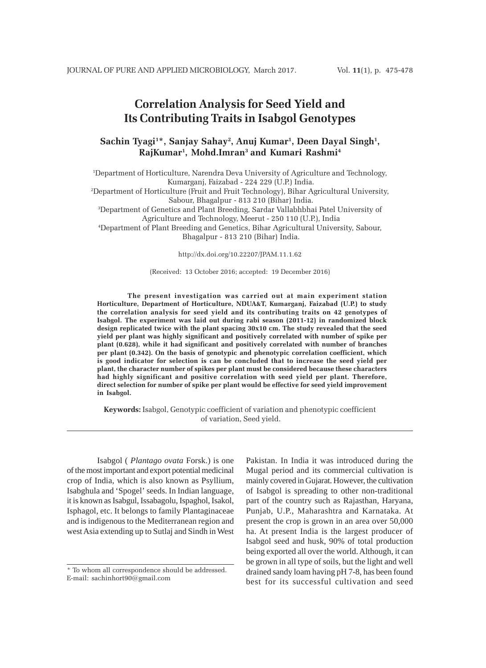# **Correlation Analysis for Seed Yield and Its Contributing Traits in Isabgol Genotypes**

## **Sachin Tyagi1 \*, Sanjay Sahay2 , Anuj Kumar1 , Deen Dayal Singh1 , RajKumar1 , Mohd.Imran3 and Kumari Rashmi4**

1 Department of Horticulture, Narendra Deva University of Agriculture and Technology, Kumarganj, Faizabad - 224 229 (U.P.) India. 2 Department of Horticulture (Fruit and Fruit Technology), Bihar Agricultural University, Sabour, Bhagalpur - 813 210 (Bihar) India. 3 Department of Genetics and Plant Breeding, Sardar Vallabhbhai Patel University of Agriculture and Technology, Meerut - 250 110 (U.P.), India

4 Department of Plant Breeding and Genetics, Bihar Agricultural University, Sabour, Bhagalpur - 813 210 (Bihar) India.

http://dx.doi.org/10.22207/JPAM.11.1.62

#### (Received: 13 October 2016; accepted: 19 December 2016)

**The present investigation was carried out at main experiment station Horticulture, Department of Horticulture, NDUA&T, Kumarganj, Faizabad (U.P.) to study the correlation analysis for seed yield and its contributing traits on 42 genotypes of Isabgol. The experiment was laid out during rabi season (2011-12) in randomized block design replicated twice with the plant spacing 30x10 cm. The study revealed that the seed yield per plant was highly significant and positively correlated with number of spike per plant (0.628), while it had significant and positively correlated with number of branches per plant (0.342). On the basis of genotypic and phenotypic correlation coefficient, which is good indicator for selection is can be concluded that to increase the seed yield per plant, the character number of spikes per plant must be considered because these characters had highly significant and positive correlation with seed yield per plant. Therefore, direct selection for number of spike per plant would be effective for seed yield improvement in Isabgol.**

**Keywords:** Isabgol, Genotypic coefficient of variation and phenotypic coefficient of variation, Seed yield.

Isabgol ( *Plantago ovata* Forsk.) is one of the most important and export potential medicinal crop of India, which is also known as Psyllium, Isabghula and 'Spogel' seeds. In Indian language, it is known as Isabgul, Issabagolu, Ispaghol, Isakol, Isphagol, etc. It belongs to family Plantaginaceae and is indigenous to the Mediterranean region and west Asia extending up to Sutlaj and Sindh in West

Pakistan. In India it was introduced during the Mugal period and its commercial cultivation is mainly covered in Gujarat. However, the cultivation of Isabgol is spreading to other non-traditional part of the country such as Rajasthan, Haryana, Punjab, U.P., Maharashtra and Karnataka. At present the crop is grown in an area over 50,000 ha. At present India is the largest producer of Isabgol seed and husk, 90% of total production being exported all over the world. Although, it can be grown in all type of soils, but the light and well drained sandy loam having pH 7-8, has been found best for its successful cultivation and seed

<sup>\*</sup> To whom all correspondence should be addressed. E-mail: sachinhort90@gmail.com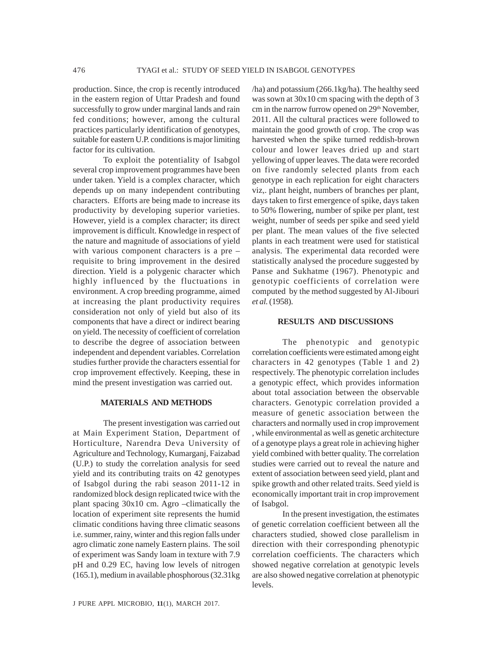production. Since, the crop is recently introduced in the eastern region of Uttar Pradesh and found successfully to grow under marginal lands and rain fed conditions; however, among the cultural practices particularly identification of genotypes, suitable for eastern U.P. conditions is major limiting factor for its cultivation.

To exploit the potentiality of Isabgol several crop improvement programmes have been under taken. Yield is a complex character, which depends up on many independent contributing characters. Efforts are being made to increase its productivity by developing superior varieties. However, yield is a complex character; its direct improvement is difficult. Knowledge in respect of the nature and magnitude of associations of yield with various component characters is a pre – requisite to bring improvement in the desired direction. Yield is a polygenic character which highly influenced by the fluctuations in environment. A crop breeding programme, aimed at increasing the plant productivity requires consideration not only of yield but also of its components that have a direct or indirect bearing on yield. The necessity of coefficient of correlation to describe the degree of association between independent and dependent variables. Correlation studies further provide the characters essential for crop improvement effectively. Keeping, these in mind the present investigation was carried out.

## **MATERIALS AND METHODS**

The present investigation was carried out at Main Experiment Station, Department of Horticulture, Narendra Deva University of Agriculture and Technology, Kumarganj, Faizabad (U.P.) to study the correlation analysis for seed yield and its contributing traits on 42 genotypes of Isabgol during the rabi season 2011-12 in randomized block design replicated twice with the plant spacing 30x10 cm. Agro –climatically the location of experiment site represents the humid climatic conditions having three climatic seasons i.e. summer, rainy, winter and this region falls under agro climatic zone namely Eastern plains. The soil of experiment was Sandy loam in texture with 7.9 pH and 0.29 EC, having low levels of nitrogen (165.1), medium in available phosphorous (32.31kg

/ha) and potassium (266.1kg/ha). The healthy seed was sown at 30x10 cm spacing with the depth of 3 cm in the narrow furrow opened on 29<sup>th</sup> November, 2011. All the cultural practices were followed to maintain the good growth of crop. The crop was harvested when the spike turned reddish-brown colour and lower leaves dried up and start yellowing of upper leaves. The data were recorded on five randomly selected plants from each genotype in each replication for eight characters viz,. plant height, numbers of branches per plant, days taken to first emergence of spike, days taken to 50% flowering, number of spike per plant, test weight, number of seeds per spike and seed yield per plant. The mean values of the five selected plants in each treatment were used for statistical analysis. The experimental data recorded were statistically analysed the procedure suggested by Panse and Sukhatme (1967). Phenotypic and genotypic coefficients of correlation were computed by the method suggested by Al-Jibouri *et al.* (1958).

## **RESULTS AND DISCUSSIONS**

The phenotypic and genotypic correlation coefficients were estimated among eight characters in 42 genotypes (Table 1 and 2) respectively. The phenotypic correlation includes a genotypic effect, which provides information about total association between the observable characters. Genotypic correlation provided a measure of genetic association between the characters and normally used in crop improvement , while environmental as well as genetic architecture of a genotype plays a great role in achieving higher yield combined with better quality. The correlation studies were carried out to reveal the nature and extent of association between seed yield, plant and spike growth and other related traits. Seed yield is economically important trait in crop improvement of Isabgol.

In the present investigation, the estimates of genetic correlation coefficient between all the characters studied, showed close parallelism in direction with their corresponding phenotypic correlation coefficients. The characters which showed negative correlation at genotypic levels are also showed negative correlation at phenotypic levels.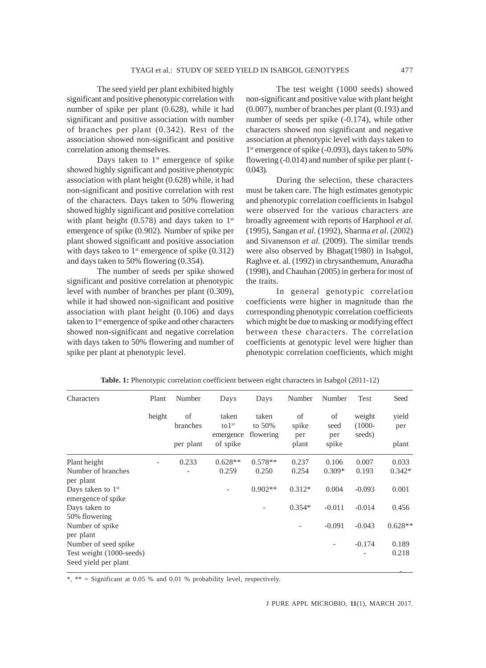The seed yield per plant exhibited highly significant and positive phenotypic correlation with number of spike per plant (0.628), while it had significant and positive association with number of branches per plant (0.342). Rest of the association showed non-significant and positive correlation among themselves.

Days taken to  $1<sup>st</sup>$  emergence of spike showed highly significant and positive phenotypic association with plant height (0.628) while, it had non-significant and positive correlation with rest of the characters. Days taken to 50% flowering showed highly significant and positive correlation with plant height (0.578) and days taken to  $1<sup>st</sup>$ emergence of spike (0.902). Number of spike per plant showed significant and positive association with days taken to  $1<sup>st</sup>$  emergence of spike (0.312) and days taken to 50% flowering (0.354).

The number of seeds per spike showed significant and positive correlation at phenotypic level with number of branches per plant (0.309), while it had showed non-significant and positive association with plant height (0.106) and days taken to 1<sup>st</sup> emergence of spike and other characters showed non-significant and negative correlation with days taken to 50% flowering and number of spike per plant at phenotypic level.

The test weight (1000 seeds) showed non-significant and positive value with plant height (0.007), number of branches per plant (0.193) and number of seeds per spike (-0.174), while other characters showed non significant and negative association at phenotypic level with days taken to 1<sup>st</sup> emergence of spike (-0.093), days taken to 50% flowering (-0.014) and number of spike per plant (-  $0.043$ ).

During the selection, these characters must be taken care. The high estimates genotypic and phenotypic correlation coefficients in Isabgol were observed for the various characters are broadly agreement with reports of Harphool *et al.* (1995), Sangan *et al.* (1992), Sharma *et al.* (2002) and Sivanenson *et al.* (2009). The similar trends were also observed by Bhagat(1980) in Isabgol, Raghve et. al. (1992) in chrysanthemum, Anuradha (1998), and Chauhan (2005) in gerbera for most of the traits.

In general genotypic correlation coefficients were higher in magnitude than the corresponding phenotypic correlation coefficients which might be due to masking or modifying effect between these characters. The correlation coefficients at genotypic level were higher than phenotypic correlation coefficients, which might

| Characters                                       | Plant  | Number         | Days                  | Days              | Number       | Number                   | Test                | Seed         |
|--------------------------------------------------|--------|----------------|-----------------------|-------------------|--------------|--------------------------|---------------------|--------------|
|                                                  | height | of<br>branches | taken<br>$to1^{st}$   | taken<br>to $50%$ | of<br>spike  | of<br>seed               | weight<br>$(1000 -$ | yield<br>per |
|                                                  |        | per plant      | emergence<br>of spike | flowering         | per<br>plant | per<br>spike             | seeds)              | plant        |
| Plant height                                     |        | 0.233          | $0.628**$             | $0.578**$         | 0.237        | 0.106                    | 0.007               | 0.033        |
| Number of branches<br>per plant                  |        |                | 0.259                 | 0.250             | 0.254        | $0.309*$                 | 0.193               | $0.342*$     |
| Days taken to $1st$<br>emergence of spike        |        |                |                       | $0.902**$         | $0.312*$     | 0.004                    | $-0.093$            | 0.001        |
| Days taken to<br>50% flowering                   |        |                |                       |                   | $0.354*$     | $-0.011$                 | $-0.014$            | 0.456        |
| Number of spike<br>per plant                     |        |                |                       |                   |              | $-0.091$                 | $-0.043$            | $0.628**$    |
| Number of seed spike                             |        |                |                       |                   |              | $\overline{\phantom{a}}$ | $-0.174$            | 0.189        |
| Test weight (1000-seeds)<br>Seed yield per plant |        |                |                       |                   |              |                          | -                   | 0.218        |

**Table. 1:** Phenotypic correlation coefficient between eight characters in Isabgol (2011-12)

\*, \*\* = Significant at 0.05 % and 0.01 % probability level, respectively.